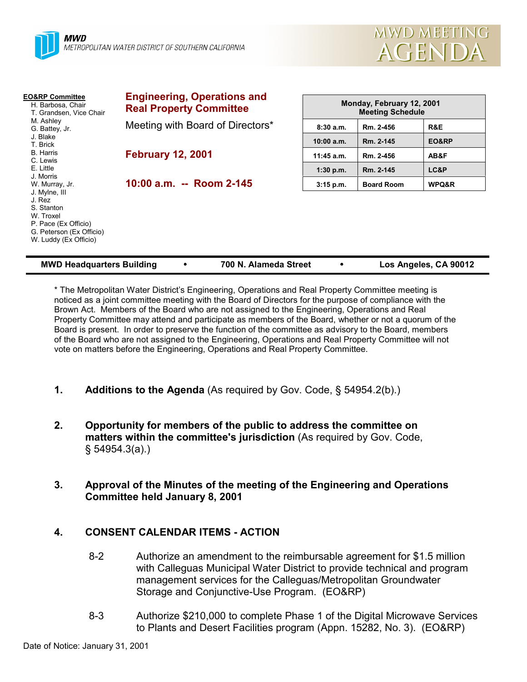

| <b>EO&amp;RP Committee</b><br>H. Barbosa, Chair<br>T. Grandsen, Vice Chair                                                      | <b>Engineering, Operations and</b><br><b>Real Property Committee</b> | Monday, February 12, 2001<br><b>Meeting Schedule</b> |                   |       |
|---------------------------------------------------------------------------------------------------------------------------------|----------------------------------------------------------------------|------------------------------------------------------|-------------------|-------|
| M. Ashley<br>G. Battey, Jr.                                                                                                     | Meeting with Board of Directors*                                     | 8:30a.m.                                             | Rm. 2-456         | R&E   |
| J. Blake<br>T. Brick                                                                                                            |                                                                      | $10:00$ a.m.                                         | Rm. 2-145         | EO&RP |
| B. Harris<br>C. Lewis                                                                                                           | <b>February 12, 2001</b>                                             | $11:45$ a.m.                                         | Rm. 2-456         | AB&F  |
| E. Little<br>J. Morris                                                                                                          |                                                                      | $1:30$ p.m.                                          | Rm. 2-145         | LC&P  |
| W. Murray, Jr.                                                                                                                  | 10:00 a.m. -- Room 2-145                                             | $3:15$ p.m.                                          | <b>Board Room</b> | WPQ&R |
| J. Mylne, III<br>J. Rez<br>S. Stanton<br>W. Troxel<br>P. Pace (Ex Officio)<br>G. Peterson (Ex Officio)<br>W. Luddy (Ex Officio) |                                                                      |                                                      |                   |       |

| <b>MWD Headquarters Building</b> |  | 700 N. Alameda Street |  | Los Angeles, CA 90012 |
|----------------------------------|--|-----------------------|--|-----------------------|
|----------------------------------|--|-----------------------|--|-----------------------|

\* The Metropolitan Water District's Engineering, Operations and Real Property Committee meeting is noticed as a joint committee meeting with the Board of Directors for the purpose of compliance with the Brown Act. Members of the Board who are not assigned to the Engineering, Operations and Real Property Committee may attend and participate as members of the Board, whether or not a quorum of the Board is present. In order to preserve the function of the committee as advisory to the Board, members of the Board who are not assigned to the Engineering, Operations and Real Property Committee will not vote on matters before the Engineering, Operations and Real Property Committee.

- **1. Additions to the Agenda** (As required by Gov. Code, § 54954.2(b).)
- **2. Opportunity for members of the public to address the committee on matters within the committee's jurisdiction** (As required by Gov. Code, § 54954.3(a).)
- **3. Approval of the Minutes of the meeting of the Engineering and Operations Committee held January 8, 2001**

# **4. CONSENT CALENDAR ITEMS - ACTION**

- 8-2 Authorize an amendment to the reimbursable agreement for \$1.5 million with Calleguas Municipal Water District to provide technical and program management services for the Calleguas/Metropolitan Groundwater Storage and Conjunctive-Use Program. (EO&RP)
- 8-3 Authorize \$210,000 to complete Phase 1 of the Digital Microwave Services to Plants and Desert Facilities program (Appn. 15282, No. 3). (EO&RP)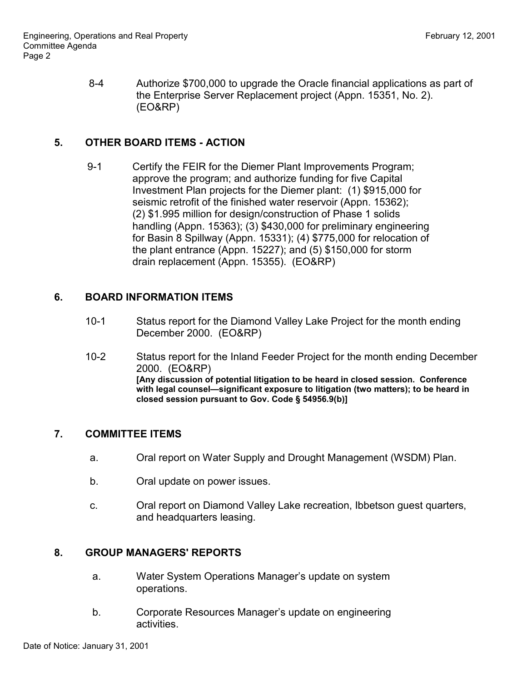8-4 Authorize \$700,000 to upgrade the Oracle financial applications as part of the Enterprise Server Replacement project (Appn. 15351, No. 2). (EO&RP)

### **5. OTHER BOARD ITEMS - ACTION**

9-1 Certify the FEIR for the Diemer Plant Improvements Program; approve the program; and authorize funding for five Capital Investment Plan projects for the Diemer plant: (1) \$915,000 for seismic retrofit of the finished water reservoir (Appn. 15362); (2) \$1.995 million for design/construction of Phase 1 solids handling (Appn. 15363); (3) \$430,000 for preliminary engineering for Basin 8 Spillway (Appn. 15331); (4) \$775,000 for relocation of the plant entrance (Appn. 15227); and (5) \$150,000 for storm drain replacement (Appn. 15355). (EO&RP)

# **6. BOARD INFORMATION ITEMS**

- 10-1 Status report for the Diamond Valley Lake Project for the month ending December 2000. (EO&RP)
- 10-2 Status report for the Inland Feeder Project for the month ending December 2000. (EO&RP) **[Any discussion of potential litigation to be heard in closed session. Conference with legal counsel—significant exposure to litigation (two matters); to be heard in closed session pursuant to Gov. Code § 54956.9(b)]**

### **7. COMMITTEE ITEMS**

- a. Oral report on Water Supply and Drought Management (WSDM) Plan.
- b. Oral update on power issues.
- c. Oral report on Diamond Valley Lake recreation, Ibbetson guest quarters, and headquarters leasing.

### **8. GROUP MANAGERS' REPORTS**

- a. Water System Operations Manager's update on system operations.
- b. Corporate Resources Manager's update on engineering activities.